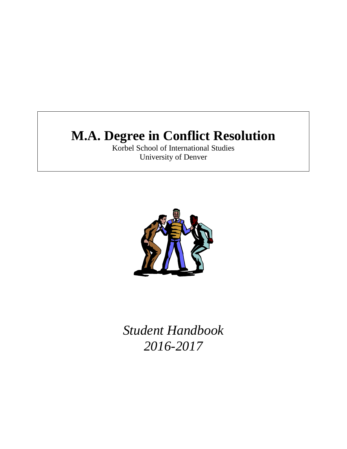# **M.A. Degree in Conflict Resolution**

Korbel School of International Studies University of Denver



*Student Handbook 2016-2017*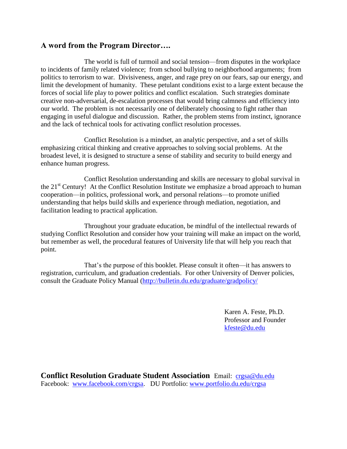## **A word from the Program Director….**

The world is full of turmoil and social tension—from disputes in the workplace to incidents of family related violence; from school bullying to neighborhood arguments; from politics to terrorism to war. Divisiveness, anger, and rage prey on our fears, sap our energy, and limit the development of humanity. These petulant conditions exist to a large extent because the forces of social life play to power politics and conflict escalation. Such strategies dominate creative non-adversarial, de-escalation processes that would bring calmness and efficiency into our world. The problem is not necessarily one of deliberately choosing to fight rather than engaging in useful dialogue and discussion. Rather, the problem stems from instinct, ignorance and the lack of technical tools for activating conflict resolution processes.

 Conflict Resolution is a mindset, an analytic perspective, and a set of skills emphasizing critical thinking and creative approaches to solving social problems. At the broadest level, it is designed to structure a sense of stability and security to build energy and enhance human progress.

 Conflict Resolution understanding and skills are necessary to global survival in the 21<sup>st</sup> Century! At the Conflict Resolution Institute we emphasize a broad approach to human cooperation—in politics, professional work, and personal relations—to promote unified understanding that helps build skills and experience through mediation, negotiation, and facilitation leading to practical application.

 Throughout your graduate education, be mindful of the intellectual rewards of studying Conflict Resolution and consider how your training will make an impact on the world, but remember as well, the procedural features of University life that will help you reach that point.

That's the purpose of this booklet. Please consult it often—it has answers to registration, curriculum, and graduation credentials. For other University of Denver policies, consult the Graduate Policy Manual [\(http://bulletin.du.edu/graduate/gradpolicy/](http://bulletin.du.edu/graduate/gradpolicy/) 

> Karen A. Feste, Ph.D. Professor and Founder [kfeste@du.edu](mailto:kfeste@du.edu)

**Conflict Resolution Graduate Student Association** Email: [crgsa@du.edu](mailto:crgsa@du.edu)  Facebook: [www.facebook.com/crgsa.](http://www.facebook.com/crgsa) DU Portfolio: [www.portfolio.du.edu/crgsa](http://www.portfolio.du.edu/crgsa)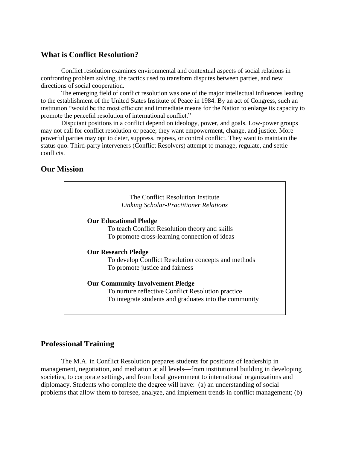## **What is Conflict Resolution?**

Conflict resolution examines environmental and contextual aspects of social relations in confronting problem solving, the tactics used to transform disputes between parties, and new directions of social cooperation.

The emerging field of conflict resolution was one of the major intellectual influences leading to the establishment of the United States Institute of Peace in 1984. By an act of Congress, such an institution "would be the most efficient and immediate means for the Nation to enlarge its capacity to promote the peaceful resolution of international conflict."

Disputant positions in a conflict depend on ideology, power, and goals. Low-power groups may not call for conflict resolution or peace; they want empowerment, change, and justice. More powerful parties may opt to deter, suppress, repress, or control conflict. They want to maintain the status quo. Third-party interveners (Conflict Resolvers) attempt to manage, regulate, and settle conflicts.

## **Our Mission**



## **Professional Training**

The M.A. in Conflict Resolution prepares students for positions of leadership in management, negotiation, and mediation at all levels—from institutional building in developing societies, to corporate settings, and from local government to international organizations and diplomacy. Students who complete the degree will have: (a) an understanding of social problems that allow them to foresee, analyze, and implement trends in conflict management; (b)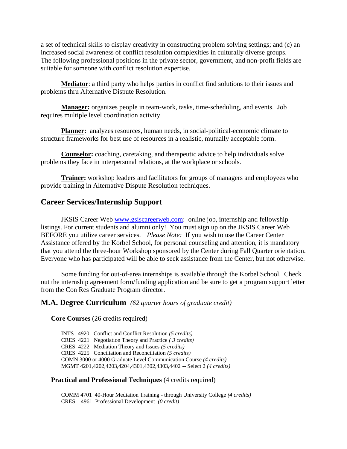a set of technical skills to display creativity in constructing problem solving settings; and (c) an increased social awareness of conflict resolution complexities in culturally diverse groups. The following professional positions in the private sector, government, and non-profit fields are suitable for someone with conflict resolution expertise.

**Mediator**: a third party who helps parties in conflict find solutions to their issues and problems thru Alternative Dispute Resolution.

**Manager:** organizes people in team-work, tasks, time-scheduling, and events. Job requires multiple level coordination activity

**Planner:** analyzes resources, human needs, in social-political-economic climate to structure frameworks for best use of resources in a realistic, mutually acceptable form.

**Counselor:** coaching, caretaking, and therapeutic advice to help individuals solve problems they face in interpersonal relations, at the workplace or schools.

**Trainer:** workshop leaders and facilitators for groups of managers and employees who provide training in Alternative Dispute Resolution techniques.

## **Career Services/Internship Support**

JKSIS Career Web [www.gsiscareerweb.com:](http://www.gsiscareerweb.com/) online job, internship and fellowship listings. For current students and alumni only! You must sign up on the JKSIS Career Web BEFORE you utilize career services.*Please Note:* If you wish to use the Career Center Assistance offered by the Korbel School, for personal counseling and attention, it is mandatory that you attend the three-hour Workshop sponsored by the Center during Fall Quarter orientation. Everyone who has participated will be able to seek assistance from the Center, but not otherwise.

Some funding for out-of-area internships is available through the Korbel School. Check out the internship agreement form/funding application and be sure to get a program support letter from the Con Res Graduate Program director.

#### **M.A. Degree Curriculum** *(62 quarter hours of graduate credit)*

#### **Core Courses** (26 credits required)

INTS 4920 Conflict and Conflict Resolution *(5 credits)* CRES 4221 Negotiation Theory and Practice *( 3 credits)* CRES 4222 Mediation Theory and Issues *(5 credits)* CRES 4225 Conciliation and Reconciliation *(5 credits)* COMN 3000 or 4000 Graduate Level Communication Course *(4 credits)* MGMT 4201,4202,4203,4204,4301,4302,4303,4402 -- Select 2 *(4 credits)*

#### **Practical and Professional Techniques** (4 credits required)

COMM 4701 40-Hour Mediation Training - through University College *(4 credits)* CRES 4961 Professional Development *(0 credit)*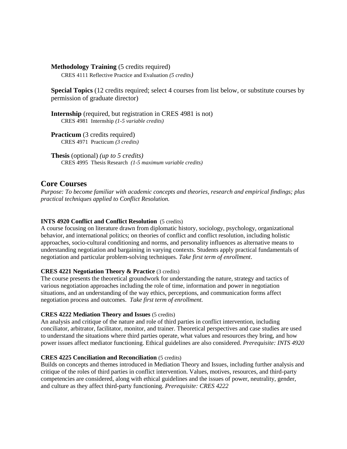**Methodology Training** (5 credits required) CRES 4111 Reflective Practice and Evaluation *(5 credits)*

**Special Topics** (12 credits required; select 4 courses from list below, or substitute courses by permission of graduate director)

**Internship** (required, but registration in CRES 4981 is not) CRES 4981 Internship *(1-5 variable credits)*

**Practicum** (3 credits required) CRES 4971 Practicum *(3 credits)*

 **Thesis** (optional) *(up to 5 credits)* CRES 4995 Thesis Research *(1-5 maximum variable credits)*

#### **Core Courses**

*Purpose: To become familiar with academic concepts and theories, research and empirical findings; plus practical techniques applied to Conflict Resolution.* 

#### **INTS 4920 Conflict and Conflict Resolution** (5 credits)

A course focusing on literature drawn from diplomatic history, sociology, psychology, organizational behavior, and international politics; on theories of conflict and conflict resolution, including holistic approaches, socio-cultural conditioning and norms, and personality influences as alternative means to understanding negotiation and bargaining in varying contexts. Students apply practical fundamentals of negotiation and particular problem-solving techniques. *Take first term of enrollment*.

#### **CRES 4221 Negotiation Theory & Practice** (3 credits)

The course presents the theoretical groundwork for understanding the nature, strategy and tactics of various negotiation approaches including the role of time, information and power in negotiation situations, and an understanding of the way ethics, perceptions, and communication forms affect negotiation process and outcomes. *Take first term of enrollment.* 

#### **CRES 4222 Mediation Theory and Issues** (5 credits)

An analysis and critique of the nature and role of third parties in conflict intervention, including conciliator, arbitrator, facilitator, monitor, and trainer. Theoretical perspectives and case studies are used to understand the situations where third parties operate, what values and resources they bring, and how power issues affect mediator functioning. Ethical guidelines are also considered. *Prerequisite: INTS 4920*

#### **CRES 4225 Conciliation and Reconciliation** (5 credits)

Builds on concepts and themes introduced in Mediation Theory and Issues, including further analysis and critique of the roles of third parties in conflict intervention. Values, motives, resources, and third-party competencies are considered, along with ethical guidelines and the issues of power, neutrality, gender, and culture as they affect third-party functioning. *Prerequisite: CRES 4222*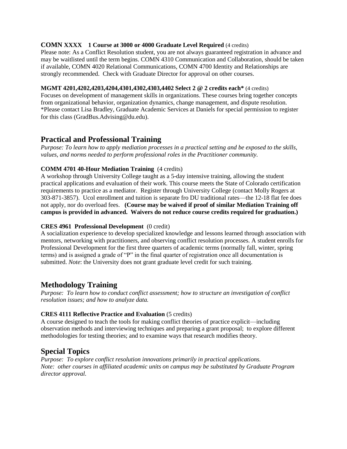#### **COMN XXXX 1 Course at 3000 or 4000 Graduate Level Required** (4 credits)

Please note: As a Conflict Resolution student, you are not always guaranteed registration in advance and may be waitlisted until the term begins. COMN 4310 Communication and Collaboration, should be taken if available, COMN 4020 Relational Communications, COMN 4700 Identity and Relationships are strongly recommended. Check with Graduate Director for approval on other courses.

#### **MGMT 4201,4202,4203,4204,4301,4302,4303,4402 Select 2 @ 2 credits each\*** (4 credits)

Focuses on development of management skills in organizations. These courses bring together concepts from organizational behavior, organization dynamics, change management, and dispute resolution. \*Please contact Lisa Bradley, Graduate Academic Services at Daniels for special permission to register for this class (GradBus.Advising@du.edu).

## **Practical and Professional Training**

*Purpose: To learn how to apply mediation processes in a practical setting and be exposed to the skills, values, and norms needed to perform professional roles in the Practitioner community.*

#### **COMM 4701 40-Hour Mediation Training** (4 credits)

A workshop through University College taught as a 5-day intensive training, allowing the student practical applications and evaluation of their work. This course meets the State of Colorado certification requirements to practice as a mediator. Register through University College (contact Molly Rogers at 303-871-3857). Ucol enrollment and tuition is separate fro DU traditional rates—the 12-18 flat fee does not apply, nor do overload fees. **(Course may be waived if proof of similar Mediation Training off campus is provided in advanced. Waivers do not reduce course credits required for graduation.)** 

#### **CRES 4961 Professional Development** (0 credit)

A socialization experience to develop specialized knowledge and lessons learned through association with mentors, networking with practitioners, and observing conflict resolution processes. A student enrolls for Professional Development for the first three quarters of academic terms (normally fall, winter, spring terms) and is assigned a grade of "P" in the final quarter of registration once all documentation is submitted. *Note*: the University does not grant graduate level credit for such training.

## **Methodology Training**

*Purpose: To learn how to conduct conflict assessment; how to structure an investigation of conflict resolution issues; and how to analyze data.* 

#### **CRES 4111 Reflective Practice and Evaluation** (5 credits)

A course designed to teach the tools for making conflict theories of practice explicit—including observation methods and interviewing techniques and preparing a grant proposal; to explore different methodologies for testing theories; and to examine ways that research modifies theory.

## **Special Topics**

*Purpose: To explore conflict resolution innovations primarily in practical applications. Note: other courses in affiliated academic units on campus may be substituted by Graduate Program director approval.*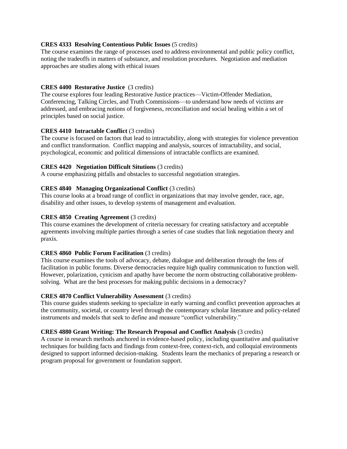#### **CRES 4333 Resolving Contentious Public Issues** (5 credits)

The course examines the range of processes used to address environmental and public policy conflict, noting the tradeoffs in matters of substance, and resolution procedures. Negotiation and mediation approaches are studies along with ethical issues

#### **CRES 4400 Restorative Justice** (3 credits)

The course explores four leading Restorative Justice practices—Victim-Offender Mediation, Conferencing, Talking Circles, and Truth Commissions—to understand how needs of victims are addressed, and embracing notions of forgiveness, reconciliation and social healing within a set of principles based on social justice.

#### **CRES 4410 Intractable Conflict** (3 credits)

The course is focused on factors that lead to intractability, along with strategies for violence prevention and conflict transformation. Conflict mapping and analysis, sources of intractability, and social, psychological, economic and political dimensions of intractable conflicts are examined.

#### **CRES 4420 Negotiation Difficult Situtions** (3 credits)

A course emphasizing pitfalls and obstacles to successful negotiation strategies.

#### **CRES 4840 Managing Organizational Conflict** (3 credits)

This course looks at a broad range of conflict in organizations that may involve gender, race, age, disability and other issues, to develop systems of management and evaluation.

#### **CRES 4850 Creating Agreement** (3 credits)

This course examines the development of criteria necessary for creating satisfactory and acceptable agreements involving multiple parties through a series of case studies that link negotiation theory and praxis.

#### **CRES 4860 Public Forum Facilitation** (3 credits)

This course examines the tools of advocacy, debate, dialogue and deliberation through the lens of facilitation in public forums. Diverse democracies require high quality communication to function well. However, polarization, cynicism and apathy have become the norm obstructing collaborative problemsolving. What are the best processes for making public decisions in a democracy?

#### **CRES 4870 Conflict Vulnerability Assessment** (3 credits)

This course guides students seeking to specialize in early warning and conflict prevention approaches at the community, societal, or country level through the contemporary scholar literature and policy-related instruments and models that seek to define and measure "conflict vulnerability."

#### **CRES 4880 Grant Writing: The Research Proposal and Conflict Analysis** (3 credits)

A course in research methods anchored in evidence-based policy, including quantitative and qualitative techniques for building facts and findings from context-free, context-rich, and colloquial environments designed to support informed decision-making. Students learn the mechanics of preparing a research or program proposal for government or foundation support.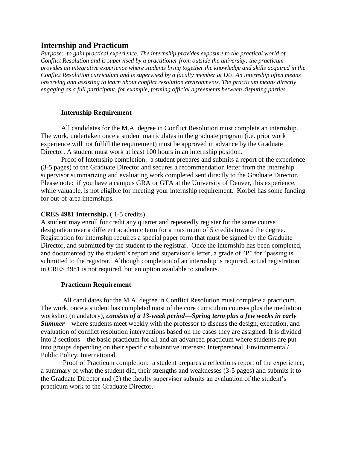## **Internship and Practicum**

*Purpose: to gain practical experience. The internship provides exposure to the practical world of Conflict Resolution and is supervised by a practitioner from outside the university; the practicum provides an integrative experience where students bring together the knowledge and skills acquired in the Conflict Resolution curriculum and is supervised by a faculty member at DU. An internship often means observing and assisting to learn about conflict resolution environments. The practicum means directly engaging as a full participant, for example, forming official agreements between disputing parties.*

#### **Internship Requirement**

All candidates for the M.A. degree in Conflict Resolution must complete an internship. The work, undertaken once a student matriculates in the graduate program (i.e. prior work experience will not fulfill the requirement) must be approved in advance by the Graduate Director. A student must work at least 100 hours in an internship position.

Proof of Internship completion: a student prepares and submits a report of the experience (3-5 pages) to the Graduate Director and secures a recommendation letter from the internship supervisor summarizing and evaluating work completed sent directly to the Graduate Director. Please note: if you have a campus GRA or GTA at the University of Denver, this experience, while valuable, is not eligible for meeting your internship requirement. Korbel has some funding for out-of-area internships.

#### **CRES 4981 Internship.** ( 1-5 credits)

A student may enroll for credit any quarter and repeatedly register for the same course designation over a different academic term for a maximum of 5 credits toward the degree. Registration for internship requires a special paper form that must be signed by the Graduate Director, and submitted by the student to the registrar. Once the internship has been completed, and documented by the student's report and supervisor's letter, a grade of "P" for "passing is submitted to the registrar. Although completion of an internship is required, actual registration in CRES 4981 is not required, but an option available to students.

#### **Practicum Requirement**

All candidates for the M.A. degree in Conflict Resolution must complete a practicum. The work, once a student has completed most of the core curriculum courses plus the mediation workshop (mandatory), *consists of a 13-week period—Spring term plus a few weeks in early Summer*—where students meet weekly with the professor to discuss the design, execution, and evaluation of conflict resolution interventions based on the cases they are assigned. It is divided into 2 sections—the basic practicum for all and an advanced practicum where students are put into groups depending on their specific substantive interests: Interpersonal, Environmental/ Public Policy, International.

Proof of Practicum completion: a student prepares a reflections report of the experience, a summary of what the student did, their strengths and weaknesses (3-5 pages) and submits it to the Graduate Director and (2) the faculty supervisor submits an evaluation of the student's practicum work to the Graduate Director.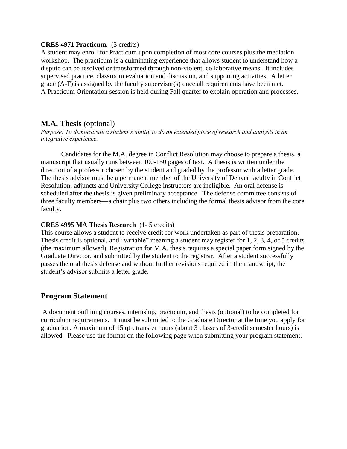#### **CRES 4971 Practicum.** (3 credits)

A student may enroll for Practicum upon completion of most core courses plus the mediation workshop. The practicum is a culminating experience that allows student to understand how a dispute can be resolved or transformed through non-violent, collaborative means. It includes supervised practice, classroom evaluation and discussion, and supporting activities. A letter grade (A-F) is assigned by the faculty supervisor(s) once all requirements have been met. A Practicum Orientation session is held during Fall quarter to explain operation and processes.

## **M.A. Thesis** (optional)

*Purpose: To demonstrate a student's ability to do an extended piece of research and analysis in an integrative experience.*

Candidates for the M.A. degree in Conflict Resolution may choose to prepare a thesis, a manuscript that usually runs between 100-150 pages of text. A thesis is written under the direction of a professor chosen by the student and graded by the professor with a letter grade. The thesis advisor must be a permanent member of the University of Denver faculty in Conflict Resolution; adjuncts and University College instructors are ineligible. An oral defense is scheduled after the thesis is given preliminary acceptance. The defense committee consists of three faculty members—a chair plus two others including the formal thesis advisor from the core faculty.

#### **CRES 4995 MA Thesis Research** (1- 5 credits)

This course allows a student to receive credit for work undertaken as part of thesis preparation. Thesis credit is optional, and "variable" meaning a student may register for 1, 2, 3, 4, or 5 credits (the maximum allowed). Registration for M.A. thesis requires a special paper form signed by the Graduate Director, and submitted by the student to the registrar. After a student successfully passes the oral thesis defense and without further revisions required in the manuscript, the student's advisor submits a letter grade.

## **Program Statement**

A document outlining courses, internship, practicum, and thesis (optional) to be completed for curriculum requirements. It must be submitted to the Graduate Director at the time you apply for graduation. A maximum of 15 qtr. transfer hours (about 3 classes of 3-credit semester hours) is allowed. Please use the format on the following page when submitting your program statement.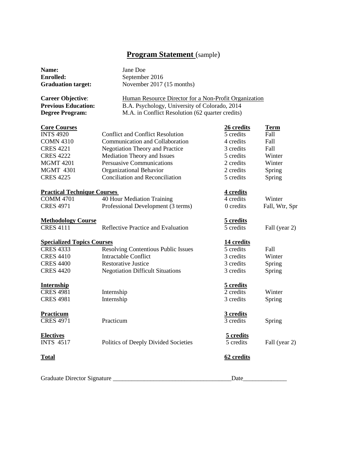## **Program Statement** (sample)

| Name:                              | Jane Doe                                              |            |                |
|------------------------------------|-------------------------------------------------------|------------|----------------|
| <b>Enrolled:</b>                   | September 2016                                        |            |                |
| <b>Graduation target:</b>          | November 2017 (15 months)                             |            |                |
| <b>Career Objective:</b>           | Human Resource Director for a Non-Profit Organization |            |                |
| <b>Previous Education:</b>         | B.A. Psychology, University of Colorado, 2014         |            |                |
| <b>Degree Program:</b>             | M.A. in Conflict Resolution (62 quarter credits)      |            |                |
| <b>Core Courses</b>                |                                                       | 26 credits | <u>Term</u>    |
| <b>INTS 4920</b>                   | <b>Conflict and Conflict Resolution</b>               | 5 credits  | Fall           |
| <b>COMN 4310</b>                   | Communication and Collaboration                       | 4 credits  | Fall           |
| <b>CRES 4221</b>                   | <b>Negotiation Theory and Practice</b>                | 3 credits  | Fall           |
| <b>CRES 4222</b>                   | Mediation Theory and Issues                           | 5 credits  | Winter         |
| <b>MGMT 4201</b>                   | <b>Persuasive Communications</b>                      | 2 credits  | Winter         |
| <b>MGMT 4301</b>                   | Organizational Behavior                               | 2 credits  | Spring         |
| <b>CRES 4225</b>                   | Conciliation and Reconciliation                       | 5 credits  | Spring         |
| <b>Practical Technique Courses</b> |                                                       | 4 credits  |                |
| <b>COMM 4701</b>                   | 40 Hour Mediation Training                            | 4 credits  | Winter         |
| <b>CRES 4971</b>                   | Professional Development (3 terms)                    | 0 credits  | Fall, Wtr, Spr |
| <b>Methodology Course</b>          |                                                       | 5 credits  |                |
| <b>CRES 4111</b>                   | Reflective Practice and Evaluation                    | 5 credits  | Fall (year 2)  |
| <b>Specialized Topics Courses</b>  |                                                       | 14 credits |                |
| <b>CRES 4333</b>                   | <b>Resolving Contentious Public Issues</b>            | 5 credits  | Fall           |
| <b>CRES 4410</b>                   | <b>Intractable Conflict</b>                           | 3 credits  | Winter         |
| <b>CRES 4400</b>                   | <b>Restorative Justice</b>                            | 3 credits  | Spring         |
| <b>CRES 4420</b>                   | <b>Negotiation Difficult Situations</b>               | 3 credits  | Spring         |
| <b>Internship</b>                  |                                                       | 5 credits  |                |
| <b>CRES 4981</b>                   | Internship                                            | 2 credits  | Winter         |
| <b>CRES 4981</b>                   | Internship                                            | 3 credits  | Spring         |
| Practicum                          |                                                       | 3 credits  |                |
| <b>CRES 4971</b>                   | Practicum                                             | 3 credits  | Spring         |
| <b>Electives</b>                   |                                                       | 5 credits  |                |
| <b>INTS 4517</b>                   | Politics of Deeply Divided Societies                  | 5 credits  | Fall (year 2)  |
| <b>Total</b>                       |                                                       | 62 credits |                |
| Graduate Director Signature        |                                                       | Date       |                |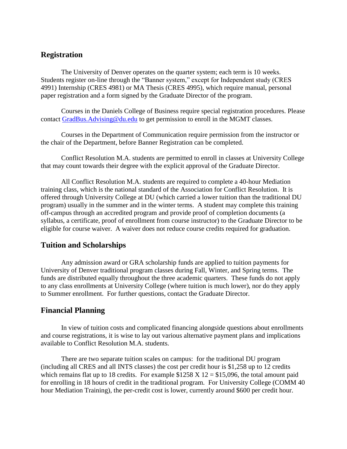## **Registration**

The University of Denver operates on the quarter system; each term is 10 weeks. Students register on-line through the "Banner system," except for Independent study (CRES 4991) Internship (CRES 4981) or MA Thesis (CRES 4995), which require manual, personal paper registration and a form signed by the Graduate Director of the program.

Courses in the Daniels College of Business require special registration procedures. Please contact [GradBus.Advising@du.edu](mailto:GradBus.Advising@du.edu) to get permission to enroll in the MGMT classes.

Courses in the Department of Communication require permission from the instructor or the chair of the Department, before Banner Registration can be completed.

Conflict Resolution M.A. students are permitted to enroll in classes at University College that may count towards their degree with the explicit approval of the Graduate Director.

All Conflict Resolution M.A. students are required to complete a 40-hour Mediation training class, which is the national standard of the Association for Conflict Resolution. It is offered through University College at DU (which carried a lower tuition than the traditional DU program) usually in the summer and in the winter terms. A student may complete this training off-campus through an accredited program and provide proof of completion documents (a syllabus, a certificate, proof of enrollment from course instructor) to the Graduate Director to be eligible for course waiver. A waiver does not reduce course credits required for graduation.

#### **Tuition and Scholarships**

Any admission award or GRA scholarship funds are applied to tuition payments for University of Denver traditional program classes during Fall, Winter, and Spring terms. The funds are distributed equally throughout the three academic quarters. These funds do not apply to any class enrollments at University College (where tuition is much lower), nor do they apply to Summer enrollment. For further questions, contact the Graduate Director.

#### **Financial Planning**

In view of tuition costs and complicated financing alongside questions about enrollments and course registrations, it is wise to lay out various alternative payment plans and implications available to Conflict Resolution M.A. students.

There are two separate tuition scales on campus: for the traditional DU program (including all CRES and all INTS classes) the cost per credit hour is \$1,258 up to 12 credits which remains flat up to 18 credits. For example  $$1258 \text{ X}$  12 = \$15,096, the total amount paid for enrolling in 18 hours of credit in the traditional program. For University College (COMM 40 hour Mediation Training), the per-credit cost is lower, currently around \$600 per credit hour.